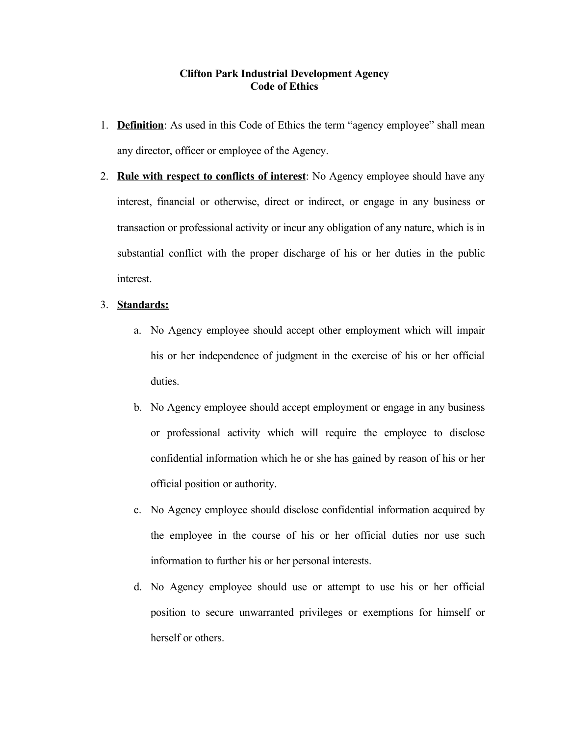## **Clifton Park Industrial Development Agency Code of Ethics**

- 1. **Definition**: As used in this Code of Ethics the term "agency employee" shall mean any director, officer or employee of the Agency.
- 2. **Rule with respect to conflicts of interest**: No Agency employee should have any interest, financial or otherwise, direct or indirect, or engage in any business or transaction or professional activity or incur any obligation of any nature, which is in substantial conflict with the proper discharge of his or her duties in the public interest.

## 3. **Standards:**

- a. No Agency employee should accept other employment which will impair his or her independence of judgment in the exercise of his or her official duties.
- b. No Agency employee should accept employment or engage in any business or professional activity which will require the employee to disclose confidential information which he or she has gained by reason of his or her official position or authority.
- c. No Agency employee should disclose confidential information acquired by the employee in the course of his or her official duties nor use such information to further his or her personal interests.
- d. No Agency employee should use or attempt to use his or her official position to secure unwarranted privileges or exemptions for himself or herself or others.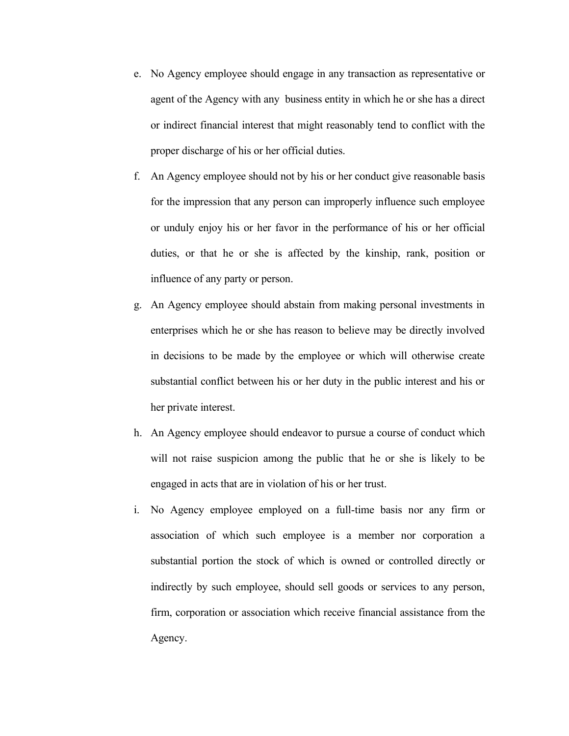- e. No Agency employee should engage in any transaction as representative or agent of the Agency with any business entity in which he or she has a direct or indirect financial interest that might reasonably tend to conflict with the proper discharge of his or her official duties.
- f. An Agency employee should not by his or her conduct give reasonable basis for the impression that any person can improperly influence such employee or unduly enjoy his or her favor in the performance of his or her official duties, or that he or she is affected by the kinship, rank, position or influence of any party or person.
- g. An Agency employee should abstain from making personal investments in enterprises which he or she has reason to believe may be directly involved in decisions to be made by the employee or which will otherwise create substantial conflict between his or her duty in the public interest and his or her private interest.
- h. An Agency employee should endeavor to pursue a course of conduct which will not raise suspicion among the public that he or she is likely to be engaged in acts that are in violation of his or her trust.
- i. No Agency employee employed on a full-time basis nor any firm or association of which such employee is a member nor corporation a substantial portion the stock of which is owned or controlled directly or indirectly by such employee, should sell goods or services to any person, firm, corporation or association which receive financial assistance from the Agency.